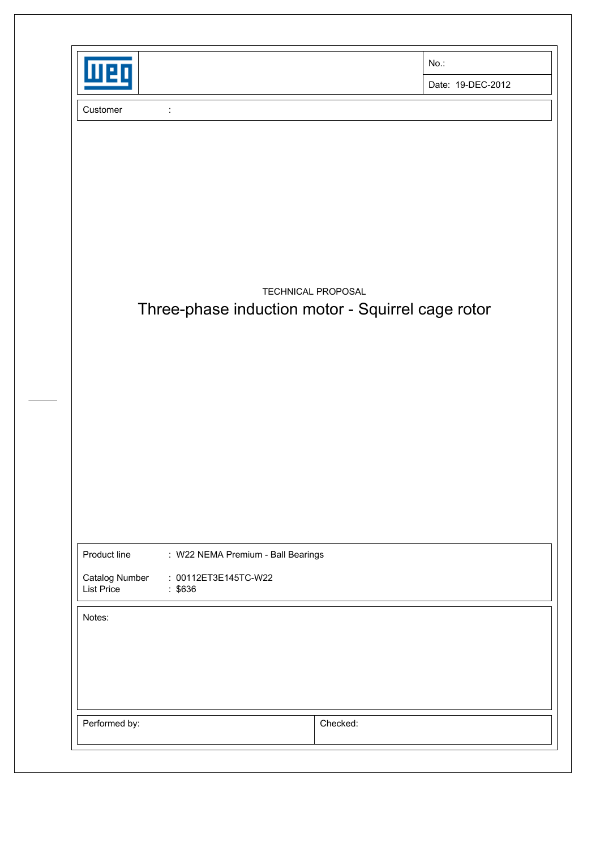| п                                              |                                                                         | No.:              |
|------------------------------------------------|-------------------------------------------------------------------------|-------------------|
|                                                |                                                                         | Date: 19-DEC-2012 |
| Customer<br>$\ddot{\cdot}$                     |                                                                         |                   |
|                                                |                                                                         |                   |
|                                                |                                                                         |                   |
|                                                |                                                                         |                   |
|                                                |                                                                         |                   |
|                                                |                                                                         |                   |
|                                                |                                                                         |                   |
|                                                | TECHNICAL PROPOSAL<br>Three-phase induction motor - Squirrel cage rotor |                   |
|                                                |                                                                         |                   |
|                                                |                                                                         |                   |
|                                                |                                                                         |                   |
|                                                |                                                                         |                   |
|                                                |                                                                         |                   |
|                                                |                                                                         |                   |
|                                                |                                                                         |                   |
|                                                |                                                                         |                   |
| Product line                                   | : W22 NEMA Premium - Ball Bearings                                      |                   |
| Catalog Number<br><b>List Price</b><br>: \$636 | : 00112ET3E145TC-W22                                                    |                   |
| Notes:                                         |                                                                         |                   |
|                                                |                                                                         |                   |
|                                                |                                                                         |                   |
|                                                |                                                                         |                   |
|                                                |                                                                         |                   |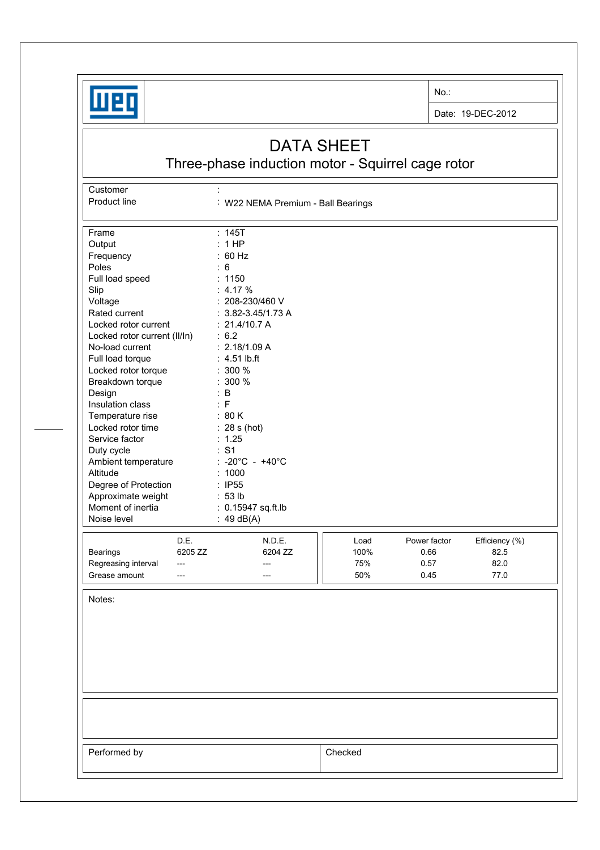

**Customer** 

No.:

Date: 19-DEC-2012

## DATA SHEET

Three-phase induction motor - Squirrel cage rotor

Product line : W22 NEMA Premium - Ball Bearings Frame : 145T Output : 1 HP<br>Frequency : 60 Hz Frequency : 60<br>Poles : 6 Poles : 6<br>
Full load speed : 1150 Full load speed Slip : 4.17 % Voltage : 208-230/460 V Rated current : 3.82-3.45/1.73 A Locked rotor current : 21.4/10.7 A Locked rotor current (II/In) : 6.2 No-load current : 2.18/1.09 A Full load torque : 4.51 lb.ft Locked rotor torque : 300 % Breakdown torque : 300 % Design : B Insulation class : F Temperature rise : 80 K Locked rotor time : 28 s (hot) Service factor : 1.25 Duty cycle  $\qquad \qquad : S1$ Ambient temperature : -20°C - +40°C Altitude : 1000 Degree of Protection : IP55<br>Approximate weight : 53 lb Approximate weight Moment of inertia : 0.15947 sq.ft.lb Noise level : 49 dB(A) D.E. N.D.E. **N.D.E. Load** Power factor Efficiency (%) Bearings 6205 ZZ 6204 ZZ 100% 0.66 82.5 Regreasing interval --- --- --- --- --- --- 75% 0.57 82.0 Grease amount --- --- --- --- --- --- --- | | 50% 0.45 77.0 Notes: Performed by **Checked**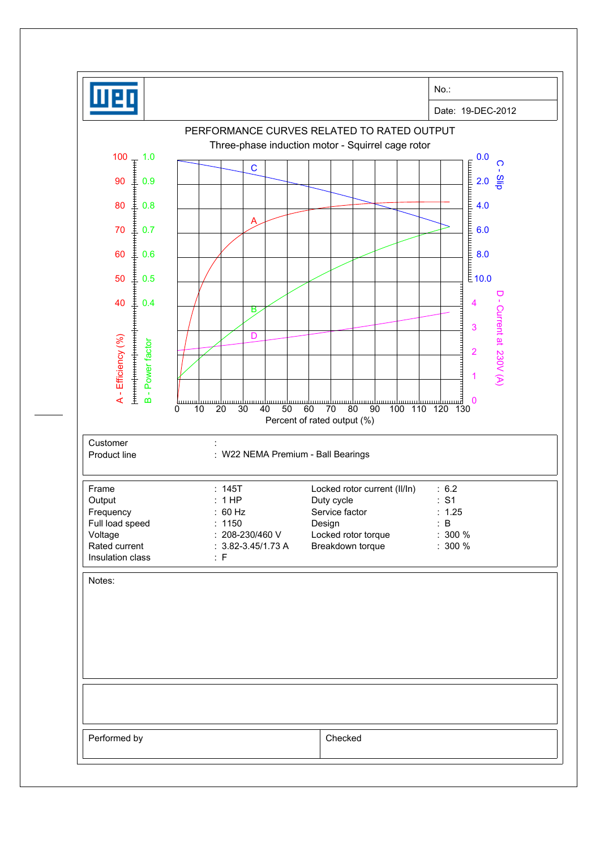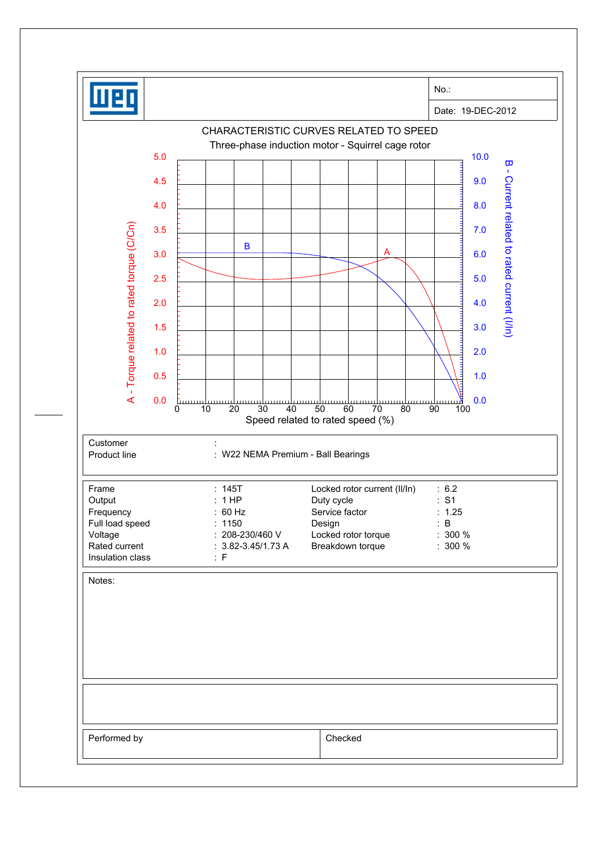|                                           | $No.$ :                                                                                                                   |
|-------------------------------------------|---------------------------------------------------------------------------------------------------------------------------|
|                                           | Date: 19-DEC-2012                                                                                                         |
|                                           | CHARACTERISTIC CURVES RELATED TO SPEED                                                                                    |
|                                           | Three-phase induction motor - Squirrel cage rotor<br>5.0<br>10.0<br>$\overline{\mathbf{u}}$                               |
|                                           | $\mathbf{I}$<br>4.5<br>9.0                                                                                                |
|                                           | 8.0<br>4.0                                                                                                                |
|                                           | 3.5<br>7.0                                                                                                                |
|                                           | B<br>A                                                                                                                    |
|                                           | 3.0<br>6.0                                                                                                                |
|                                           | 2.5<br>5.0                                                                                                                |
|                                           | Current related to rated current (I/In)<br>2.0<br>4.0                                                                     |
|                                           | 3.0<br>1.5                                                                                                                |
| A - Torque related to rated torque (C/Cn) | 1.0<br>2.0                                                                                                                |
|                                           | 1.0<br>0.5                                                                                                                |
|                                           | 0.0<br>0.0<br><u>Linning</u><br><u>mma</u><br>$\overline{20}$<br>30<br>100<br>0<br>10<br>40<br>50<br>60<br>70<br>80<br>90 |
|                                           | Speed related to rated speed (%)                                                                                          |
| Customer<br>Product line                  | : W22 NEMA Premium - Ball Bearings                                                                                        |
|                                           |                                                                                                                           |
| Frame<br>Output                           | : 145T<br>Locked rotor current (II/In)<br>: 6.2<br>: S1<br>: 1HP<br>Duty cycle                                            |
| Frequency<br>Full load speed              | : 60 Hz<br>Service factor<br>: 1.25<br>: B<br>: 1150                                                                      |
| Voltage                                   | Design<br>: 208-230/460 V<br>Locked rotor torque<br>$: 300 \%$                                                            |
| Rated current<br>Insulation class         | Breakdown torque<br>$: 3.82 - 3.45 / 1.73 A$<br>$: 300 \%$<br>: F                                                         |
| Notes:                                    |                                                                                                                           |
|                                           |                                                                                                                           |
|                                           |                                                                                                                           |
|                                           |                                                                                                                           |
|                                           |                                                                                                                           |
|                                           |                                                                                                                           |
|                                           |                                                                                                                           |
|                                           |                                                                                                                           |
| Performed by                              | Checked                                                                                                                   |